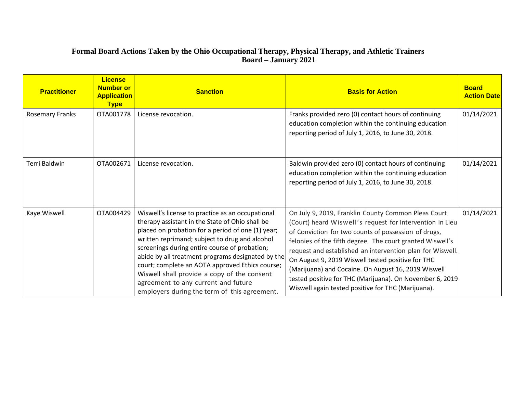# **Formal Board Actions Taken by the Ohio Occupational Therapy, Physical Therapy, and Athletic Trainers Board – January 2021**

| <b>Practitioner</b>    | License i<br><b>Number or</b><br><b>Application</b><br><b>Type</b> | <b>Sanction</b>                                                                                                                                                                                                                                                                                                                                                                                                                                                                                           | <b>Basis for Action</b>                                                                                                                                                                                                                                                                                                                                                                                                                                                                                                         | <b>Board</b><br><b>Action Date</b> |
|------------------------|--------------------------------------------------------------------|-----------------------------------------------------------------------------------------------------------------------------------------------------------------------------------------------------------------------------------------------------------------------------------------------------------------------------------------------------------------------------------------------------------------------------------------------------------------------------------------------------------|---------------------------------------------------------------------------------------------------------------------------------------------------------------------------------------------------------------------------------------------------------------------------------------------------------------------------------------------------------------------------------------------------------------------------------------------------------------------------------------------------------------------------------|------------------------------------|
| <b>Rosemary Franks</b> | OTA001778                                                          | License revocation.                                                                                                                                                                                                                                                                                                                                                                                                                                                                                       | Franks provided zero (0) contact hours of continuing<br>education completion within the continuing education<br>reporting period of July 1, 2016, to June 30, 2018.                                                                                                                                                                                                                                                                                                                                                             | 01/14/2021                         |
| Terri Baldwin          | OTA002671                                                          | License revocation.                                                                                                                                                                                                                                                                                                                                                                                                                                                                                       | Baldwin provided zero (0) contact hours of continuing<br>education completion within the continuing education<br>reporting period of July 1, 2016, to June 30, 2018.                                                                                                                                                                                                                                                                                                                                                            | 01/14/2021                         |
| Kaye Wiswell           | OTA004429                                                          | Wiswell's license to practice as an occupational<br>therapy assistant in the State of Ohio shall be<br>placed on probation for a period of one (1) year;<br>written reprimand; subject to drug and alcohol<br>screenings during entire course of probation;<br>abide by all treatment programs designated by the<br>court; complete an AOTA approved Ethics course;<br>Wiswell shall provide a copy of the consent<br>agreement to any current and future<br>employers during the term of this agreement. | On July 9, 2019, Franklin County Common Pleas Court<br>(Court) heard Wiswell's request for Intervention in Lieu<br>of Conviction for two counts of possession of drugs,<br>felonies of the fifth degree. The court granted Wiswell's<br>request and established an intervention plan for Wiswell.<br>On August 9, 2019 Wiswell tested positive for THC<br>(Marijuana) and Cocaine. On August 16, 2019 Wiswell<br>tested positive for THC (Marijuana). On November 6, 2019<br>Wiswell again tested positive for THC (Marijuana). | 01/14/2021                         |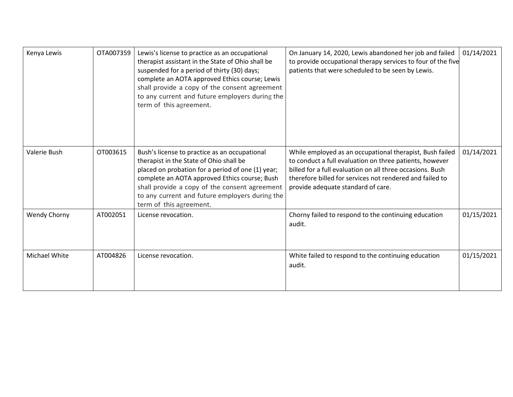| Kenya Lewis          | OTA007359 | Lewis's license to practice as an occupational<br>therapist assistant in the State of Ohio shall be<br>suspended for a period of thirty (30) days;<br>complete an AOTA approved Ethics course; Lewis<br>shall provide a copy of the consent agreement<br>to any current and future employers during the<br>term of this agreement. | On January 14, 2020, Lewis abandoned her job and failed<br>to provide occupational therapy services to four of the five<br>patients that were scheduled to be seen by Lewis.                                                                                                       | 01/14/2021 |
|----------------------|-----------|------------------------------------------------------------------------------------------------------------------------------------------------------------------------------------------------------------------------------------------------------------------------------------------------------------------------------------|------------------------------------------------------------------------------------------------------------------------------------------------------------------------------------------------------------------------------------------------------------------------------------|------------|
| Valerie Bush         | OT003615  | Bush's license to practice as an occupational<br>therapist in the State of Ohio shall be<br>placed on probation for a period of one (1) year;<br>complete an AOTA approved Ethics course; Bush<br>shall provide a copy of the consent agreement<br>to any current and future employers during the<br>term of this agreement.       | While employed as an occupational therapist, Bush failed<br>to conduct a full evaluation on three patients, however<br>billed for a full evaluation on all three occasions. Bush<br>therefore billed for services not rendered and failed to<br>provide adequate standard of care. | 01/14/2021 |
| Wendy Chorny         | AT002051  | License revocation.                                                                                                                                                                                                                                                                                                                | Chorny failed to respond to the continuing education<br>audit.                                                                                                                                                                                                                     | 01/15/2021 |
| <b>Michael White</b> | AT004826  | License revocation.                                                                                                                                                                                                                                                                                                                | White failed to respond to the continuing education<br>audit.                                                                                                                                                                                                                      | 01/15/2021 |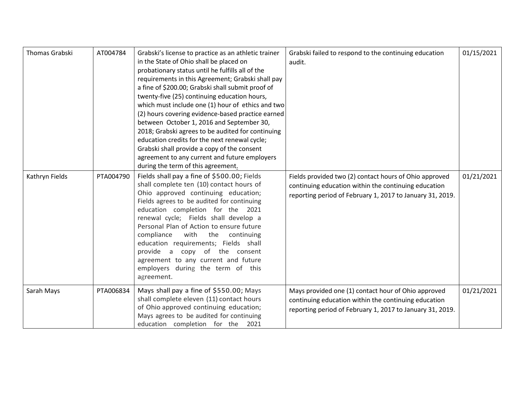| Thomas Grabski | AT004784  | Grabski's license to practice as an athletic trainer<br>in the State of Ohio shall be placed on<br>probationary status until he fulfills all of the<br>requirements in this Agreement; Grabski shall pay<br>a fine of \$200.00; Grabski shall submit proof of<br>twenty-five (25) continuing education hours,<br>which must include one (1) hour of ethics and two<br>(2) hours covering evidence-based practice earned<br>between October 1, 2016 and September 30,<br>2018; Grabski agrees to be audited for continuing<br>education credits for the next renewal cycle;<br>Grabski shall provide a copy of the consent<br>agreement to any current and future employers<br>during the term of this agreement. | Grabski failed to respond to the continuing education<br>audit.                                                                                                             | 01/15/2021 |
|----------------|-----------|------------------------------------------------------------------------------------------------------------------------------------------------------------------------------------------------------------------------------------------------------------------------------------------------------------------------------------------------------------------------------------------------------------------------------------------------------------------------------------------------------------------------------------------------------------------------------------------------------------------------------------------------------------------------------------------------------------------|-----------------------------------------------------------------------------------------------------------------------------------------------------------------------------|------------|
| Kathryn Fields | PTA004790 | Fields shall pay a fine of \$500.00; Fields<br>shall complete ten (10) contact hours of<br>Ohio approved continuing education;<br>Fields agrees to be audited for continuing<br>education completion for the 2021<br>renewal cycle; Fields shall develop a<br>Personal Plan of Action to ensure future<br>compliance with the continuing<br>education requirements; Fields shall<br>provide a copy of the consent<br>agreement to any current and future<br>employers during the term of this<br>agreement.                                                                                                                                                                                                      | Fields provided two (2) contact hours of Ohio approved<br>continuing education within the continuing education<br>reporting period of February 1, 2017 to January 31, 2019. | 01/21/2021 |
| Sarah Mays     | PTA006834 | Mays shall pay a fine of \$550.00; Mays<br>shall complete eleven (11) contact hours<br>of Ohio approved continuing education;<br>Mays agrees to be audited for continuing<br>education completion for the 2021                                                                                                                                                                                                                                                                                                                                                                                                                                                                                                   | Mays provided one (1) contact hour of Ohio approved<br>continuing education within the continuing education<br>reporting period of February 1, 2017 to January 31, 2019.    | 01/21/2021 |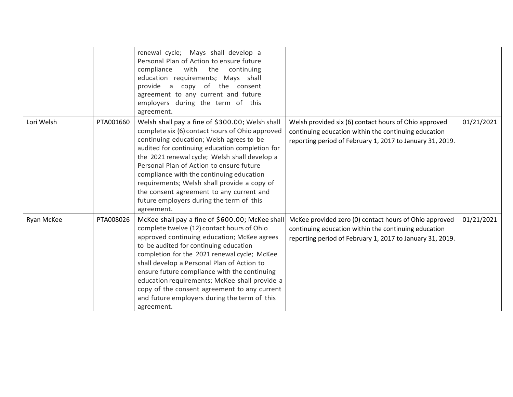|            |           | renewal cycle; Mays shall develop a<br>Personal Plan of Action to ensure future<br>compliance<br>with<br>the<br>continuing<br>education requirements; Mays shall<br>provide a copy of the consent<br>agreement to any current and future<br>employers during the term of this<br>agreement.                                                                                                                                                                                                         |                                                                                                                                                                             |            |
|------------|-----------|-----------------------------------------------------------------------------------------------------------------------------------------------------------------------------------------------------------------------------------------------------------------------------------------------------------------------------------------------------------------------------------------------------------------------------------------------------------------------------------------------------|-----------------------------------------------------------------------------------------------------------------------------------------------------------------------------|------------|
| Lori Welsh | PTA001660 | Welsh shall pay a fine of \$300.00; Welsh shall<br>complete six (6) contact hours of Ohio approved<br>continuing education; Welsh agrees to be<br>audited for continuing education completion for<br>the 2021 renewal cycle; Welsh shall develop a<br>Personal Plan of Action to ensure future<br>compliance with the continuing education<br>requirements; Welsh shall provide a copy of<br>the consent agreement to any current and<br>future employers during the term of this<br>agreement.     | Welsh provided six (6) contact hours of Ohio approved<br>continuing education within the continuing education<br>reporting period of February 1, 2017 to January 31, 2019.  | 01/21/2021 |
| Ryan McKee | PTA008026 | McKee shall pay a fine of \$600.00; McKee shall<br>complete twelve (12) contact hours of Ohio<br>approved continuing education; McKee agrees<br>to be audited for continuing education<br>completion for the 2021 renewal cycle; McKee<br>shall develop a Personal Plan of Action to<br>ensure future compliance with the continuing<br>education requirements; McKee shall provide a<br>copy of the consent agreement to any current<br>and future employers during the term of this<br>agreement. | McKee provided zero (0) contact hours of Ohio approved<br>continuing education within the continuing education<br>reporting period of February 1, 2017 to January 31, 2019. | 01/21/2021 |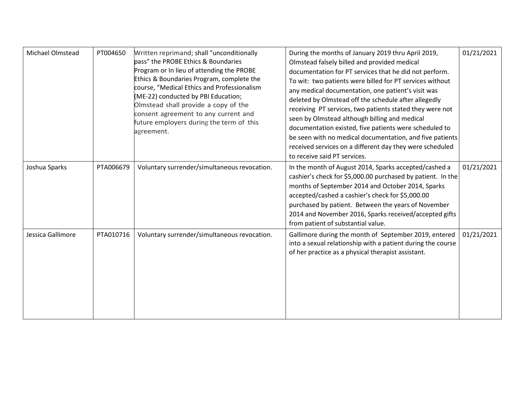| Michael Olmstead  | PT004650  | Written reprimand; shall "unconditionally<br>pass" the PROBE Ethics & Boundaries<br>Program or In lieu of attending the PROBE<br>Ethics & Boundaries Program, complete the<br>course, "Medical Ethics and Professionalism<br>(ME-22) conducted by PBI Education;<br>Olmstead shall provide a copy of the<br>consent agreement to any current and<br>future employers during the term of this<br>agreement. | During the months of January 2019 thru April 2019,<br>Olmstead falsely billed and provided medical<br>documentation for PT services that he did not perform.<br>To wit: two patients were billed for PT services without<br>any medical documentation, one patient's visit was<br>deleted by Olmstead off the schedule after allegedly<br>receiving PT services, two patients stated they were not<br>seen by Olmstead although billing and medical<br>documentation existed, five patients were scheduled to<br>be seen with no medical documentation, and five patients<br>received services on a different day they were scheduled<br>to receive said PT services. | 01/21/2021 |
|-------------------|-----------|------------------------------------------------------------------------------------------------------------------------------------------------------------------------------------------------------------------------------------------------------------------------------------------------------------------------------------------------------------------------------------------------------------|-----------------------------------------------------------------------------------------------------------------------------------------------------------------------------------------------------------------------------------------------------------------------------------------------------------------------------------------------------------------------------------------------------------------------------------------------------------------------------------------------------------------------------------------------------------------------------------------------------------------------------------------------------------------------|------------|
| Joshua Sparks     | PTA006679 | Voluntary surrender/simultaneous revocation.                                                                                                                                                                                                                                                                                                                                                               | In the month of August 2014, Sparks accepted/cashed a<br>cashier's check for \$5,000.00 purchased by patient. In the<br>months of September 2014 and October 2014, Sparks<br>accepted/cashed a cashier's check for \$5,000.00<br>purchased by patient. Between the years of November<br>2014 and November 2016, Sparks received/accepted gifts<br>from patient of substantial value.                                                                                                                                                                                                                                                                                  | 01/21/2021 |
| Jessica Gallimore | PTA010716 | Voluntary surrender/simultaneous revocation.                                                                                                                                                                                                                                                                                                                                                               | Gallimore during the month of September 2019, entered<br>into a sexual relationship with a patient during the course<br>of her practice as a physical therapist assistant.                                                                                                                                                                                                                                                                                                                                                                                                                                                                                            | 01/21/2021 |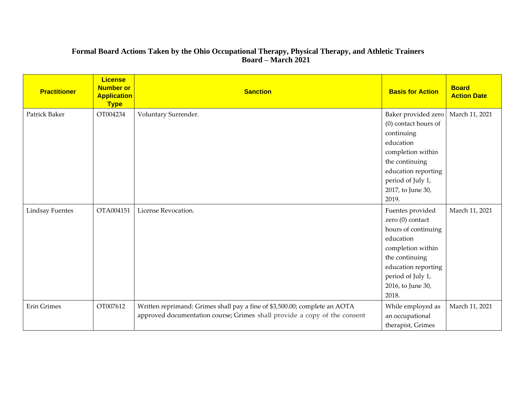# **Formal Board Actions Taken by the Ohio Occupational Therapy, Physical Therapy, and Athletic Trainers Board – March 2021**

| <b>Practitioner</b>    | <b>License</b><br><b>Number or</b><br><b>Application</b><br><b>Type</b> | <b>Sanction</b>                                                            | <b>Basis for Action</b> | <b>Board</b><br><b>Action Date</b> |
|------------------------|-------------------------------------------------------------------------|----------------------------------------------------------------------------|-------------------------|------------------------------------|
| Patrick Baker          | OT004234                                                                | Voluntary Surrender.                                                       | Baker provided zero     | March 11, 2021                     |
|                        |                                                                         |                                                                            | (0) contact hours of    |                                    |
|                        |                                                                         |                                                                            | continuing              |                                    |
|                        |                                                                         |                                                                            | education               |                                    |
|                        |                                                                         |                                                                            | completion within       |                                    |
|                        |                                                                         |                                                                            | the continuing          |                                    |
|                        |                                                                         |                                                                            | education reporting     |                                    |
|                        |                                                                         |                                                                            | period of July 1,       |                                    |
|                        |                                                                         |                                                                            | 2017, to June 30,       |                                    |
|                        |                                                                         |                                                                            | 2019.                   |                                    |
| <b>Lindsay Fuentes</b> | OTA004151                                                               | License Revocation.                                                        | Fuentes provided        | March 11, 2021                     |
|                        |                                                                         |                                                                            | zero (0) contact        |                                    |
|                        |                                                                         |                                                                            | hours of continuing     |                                    |
|                        |                                                                         |                                                                            | education               |                                    |
|                        |                                                                         |                                                                            | completion within       |                                    |
|                        |                                                                         |                                                                            | the continuing          |                                    |
|                        |                                                                         |                                                                            | education reporting     |                                    |
|                        |                                                                         |                                                                            | period of July 1,       |                                    |
|                        |                                                                         |                                                                            | 2016, to June 30,       |                                    |
|                        |                                                                         |                                                                            | 2018.                   |                                    |
| <b>Erin Grimes</b>     | OT007612                                                                | Written reprimand: Grimes shall pay a fine of \$3,500.00; complete an AOTA | While employed as       | March 11, 2021                     |
|                        |                                                                         | approved documentation course; Grimes shall provide a copy of the consent  | an occupational         |                                    |
|                        |                                                                         |                                                                            | therapist, Grimes       |                                    |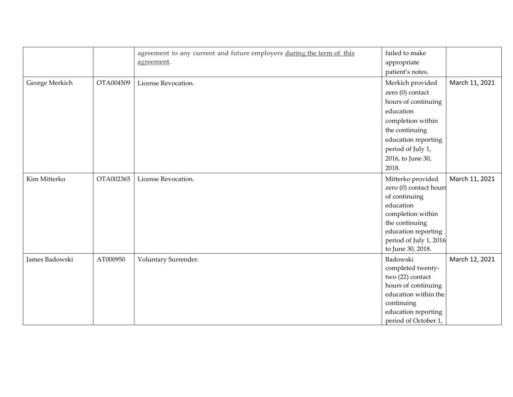|                |           | agreement to any current and future employers during the term of this | failed to make         |                |
|----------------|-----------|-----------------------------------------------------------------------|------------------------|----------------|
|                |           | agreement.                                                            | appropriate            |                |
|                |           |                                                                       | patient's notes.       |                |
|                |           |                                                                       |                        |                |
| George Merkich | OTA004509 | License Revocation.                                                   | Merkich provided       | March 11, 2021 |
|                |           |                                                                       | zero (0) contact       |                |
|                |           |                                                                       | hours of continuing    |                |
|                |           |                                                                       | education              |                |
|                |           |                                                                       | completion within      |                |
|                |           |                                                                       | the continuing         |                |
|                |           |                                                                       | education reporting    |                |
|                |           |                                                                       | period of July 1,      |                |
|                |           |                                                                       | 2016, to June 30,      |                |
|                |           |                                                                       | 2018.                  |                |
| Kim Mitterko   | OTA002365 | License Revocation.                                                   | Mitterko provided      | March 11, 2021 |
|                |           |                                                                       | zero (0) contact hours |                |
|                |           |                                                                       | of continuing          |                |
|                |           |                                                                       | education              |                |
|                |           |                                                                       | completion within      |                |
|                |           |                                                                       | the continuing         |                |
|                |           |                                                                       | education reporting    |                |
|                |           |                                                                       | period of July 1, 2016 |                |
|                |           |                                                                       | to June 30, 2018.      |                |
| James Badowski | AT000950  | Voluntary Surrender.                                                  | Badowski               | March 12, 2021 |
|                |           |                                                                       | completed twenty-      |                |
|                |           |                                                                       | two (22) contact       |                |
|                |           |                                                                       | hours of continuing    |                |
|                |           |                                                                       | education within the   |                |
|                |           |                                                                       | continuing             |                |
|                |           |                                                                       | education reporting    |                |
|                |           |                                                                       | period of October 1,   |                |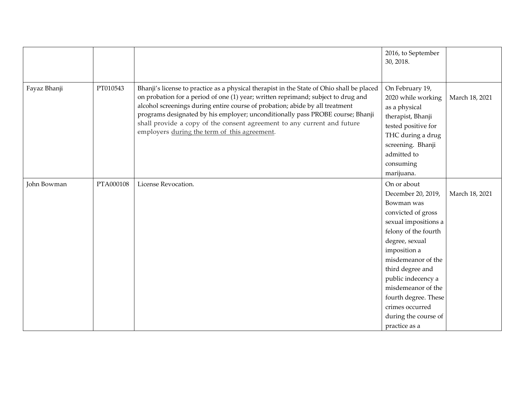|              |           |                                                                                                                                                                                                                                                                                                                                                                                                                                                                             | 2016, to September<br>30, 2018.                                                                                                                                                                                                                                                                                                   |                |
|--------------|-----------|-----------------------------------------------------------------------------------------------------------------------------------------------------------------------------------------------------------------------------------------------------------------------------------------------------------------------------------------------------------------------------------------------------------------------------------------------------------------------------|-----------------------------------------------------------------------------------------------------------------------------------------------------------------------------------------------------------------------------------------------------------------------------------------------------------------------------------|----------------|
| Fayaz Bhanji | PT010543  | Bhanji's license to practice as a physical therapist in the State of Ohio shall be placed<br>on probation for a period of one (1) year; written reprimand; subject to drug and<br>alcohol screenings during entire course of probation; abide by all treatment<br>programs designated by his employer; unconditionally pass PROBE course; Bhanji<br>shall provide a copy of the consent agreement to any current and future<br>employers during the term of this agreement. | On February 19,<br>2020 while working<br>as a physical<br>therapist, Bhanji<br>tested positive for<br>THC during a drug<br>screening. Bhanji<br>admitted to<br>consuming<br>marijuana.                                                                                                                                            | March 18, 2021 |
| John Bowman  | PTA000108 | License Revocation.                                                                                                                                                                                                                                                                                                                                                                                                                                                         | On or about<br>December 20, 2019,<br>Bowman was<br>convicted of gross<br>sexual impositions a<br>felony of the fourth<br>degree, sexual<br>imposition a<br>misdemeanor of the<br>third degree and<br>public indecency a<br>misdemeanor of the<br>fourth degree. These<br>crimes occurred<br>during the course of<br>practice as a | March 18, 2021 |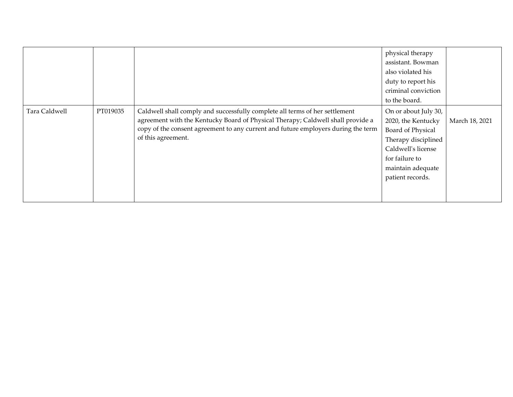|               |          |                                                                                                                                                                                                                                                                           | physical therapy<br>assistant. Bowman<br>also violated his<br>duty to report his<br>criminal conviction<br>to the board.                                                |                |
|---------------|----------|---------------------------------------------------------------------------------------------------------------------------------------------------------------------------------------------------------------------------------------------------------------------------|-------------------------------------------------------------------------------------------------------------------------------------------------------------------------|----------------|
| Tara Caldwell | PT019035 | Caldwell shall comply and successfully complete all terms of her settlement<br>agreement with the Kentucky Board of Physical Therapy; Caldwell shall provide a<br>copy of the consent agreement to any current and future employers during the term<br>of this agreement. | On or about July 30,<br>2020, the Kentucky<br>Board of Physical<br>Therapy disciplined<br>Caldwell's license<br>for failure to<br>maintain adequate<br>patient records. | March 18, 2021 |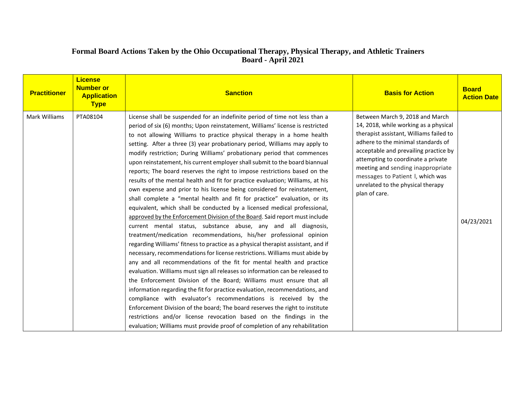# **Formal Board Actions Taken by the Ohio Occupational Therapy, Physical Therapy, and Athletic Trainers Board - April 2021**

| <b>Practitioner</b>  | <b>License</b><br><b>Number or</b><br><b>Application</b><br><b>Type</b> | <b>Sanction</b>                                                                                                                                                                                                                                                                                                                                                                                                                                                                                                                                                                                                                                                                                                                                                                                                                                                                                                                                                                                                                                                                                                                                                                                                                                                                                                                                                                                                                                                                                                                                                                                                                                                                                                                                                                                                                                                                                       | <b>Basis for Action</b>                                                                                                                                                                                                                                                                                                                                                 | <b>Board</b><br><b>Action Date</b> |
|----------------------|-------------------------------------------------------------------------|-------------------------------------------------------------------------------------------------------------------------------------------------------------------------------------------------------------------------------------------------------------------------------------------------------------------------------------------------------------------------------------------------------------------------------------------------------------------------------------------------------------------------------------------------------------------------------------------------------------------------------------------------------------------------------------------------------------------------------------------------------------------------------------------------------------------------------------------------------------------------------------------------------------------------------------------------------------------------------------------------------------------------------------------------------------------------------------------------------------------------------------------------------------------------------------------------------------------------------------------------------------------------------------------------------------------------------------------------------------------------------------------------------------------------------------------------------------------------------------------------------------------------------------------------------------------------------------------------------------------------------------------------------------------------------------------------------------------------------------------------------------------------------------------------------------------------------------------------------------------------------------------------------|-------------------------------------------------------------------------------------------------------------------------------------------------------------------------------------------------------------------------------------------------------------------------------------------------------------------------------------------------------------------------|------------------------------------|
| <b>Mark Williams</b> | PTA08104                                                                | License shall be suspended for an indefinite period of time not less than a<br>period of six (6) months; Upon reinstatement, Williams' license is restricted<br>to not allowing Williams to practice physical therapy in a home health<br>setting. After a three (3) year probationary period, Williams may apply to<br>modify restriction; During Williams' probationary period that commences<br>upon reinstatement, his current employer shall submit to the board biannual<br>reports; The board reserves the right to impose restrictions based on the<br>results of the mental health and fit for practice evaluation; Williams, at his<br>own expense and prior to his license being considered for reinstatement,<br>shall complete a "mental health and fit for practice" evaluation, or its<br>equivalent, which shall be conducted by a licensed medical professional,<br>approved by the Enforcement Division of the Board. Said report must include<br>current mental status, substance abuse, any and all diagnosis,<br>treatment/medication recommendations, his/her professional opinion<br>regarding Williams' fitness to practice as a physical therapist assistant, and if<br>necessary, recommendations for license restrictions. Williams must abide by<br>any and all recommendations of the fit for mental health and practice<br>evaluation. Williams must sign all releases so information can be released to<br>the Enforcement Division of the Board; Williams must ensure that all<br>information regarding the fit for practice evaluation, recommendations, and<br>compliance with evaluator's recommendations is received by the<br>Enforcement Division of the board; The board reserves the right to institute<br>restrictions and/or license revocation based on the findings in the<br>evaluation; Williams must provide proof of completion of any rehabilitation | Between March 9, 2018 and March<br>14, 2018, while working as a physical<br>therapist assistant, Williams failed to<br>adhere to the minimal standards of<br>acceptable and prevailing practice by<br>attempting to coordinate a private<br>meeting and sending inappropriate<br>messages to Patient I, which was<br>unrelated to the physical therapy<br>plan of care. | 04/23/2021                         |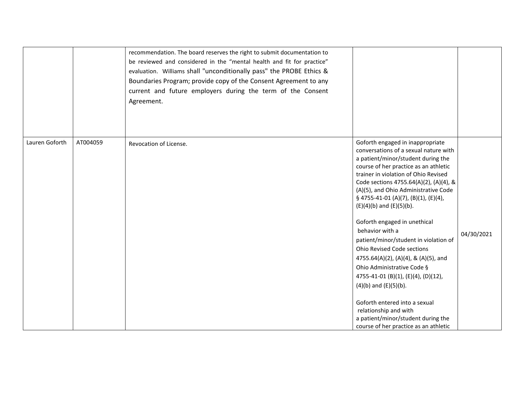|                |          | recommendation. The board reserves the right to submit documentation to<br>be reviewed and considered in the "mental health and fit for practice"<br>evaluation. Williams shall "unconditionally pass" the PROBE Ethics &<br>Boundaries Program; provide copy of the Consent Agreement to any<br>current and future employers during the term of the Consent<br>Agreement. |                                                                                                                                                                                                                                                                                                                                                                                                                                                                                                                                                                                                                                                                                                                                                                                  |            |
|----------------|----------|----------------------------------------------------------------------------------------------------------------------------------------------------------------------------------------------------------------------------------------------------------------------------------------------------------------------------------------------------------------------------|----------------------------------------------------------------------------------------------------------------------------------------------------------------------------------------------------------------------------------------------------------------------------------------------------------------------------------------------------------------------------------------------------------------------------------------------------------------------------------------------------------------------------------------------------------------------------------------------------------------------------------------------------------------------------------------------------------------------------------------------------------------------------------|------------|
| Lauren Goforth | AT004059 | Revocation of License.                                                                                                                                                                                                                                                                                                                                                     | Goforth engaged in inappropriate<br>conversations of a sexual nature with<br>a patient/minor/student during the<br>course of her practice as an athletic<br>trainer in violation of Ohio Revised<br>Code sections 4755.64(A)(2), (A)(4), &<br>(A)(5), and Ohio Administrative Code<br>§ 4755-41-01 (A)(7), (B)(1), (E)(4),<br>$(E)(4)(b)$ and $(E)(5)(b)$ .<br>Goforth engaged in unethical<br>behavior with a<br>patient/minor/student in violation of<br><b>Ohio Revised Code sections</b><br>4755.64(A)(2), (A)(4), & (A)(5), and<br>Ohio Administrative Code §<br>4755-41-01 (B)(1), (E)(4), (D)(12),<br>$(4)(b)$ and $(E)(5)(b)$ .<br>Goforth entered into a sexual<br>relationship and with<br>a patient/minor/student during the<br>course of her practice as an athletic | 04/30/2021 |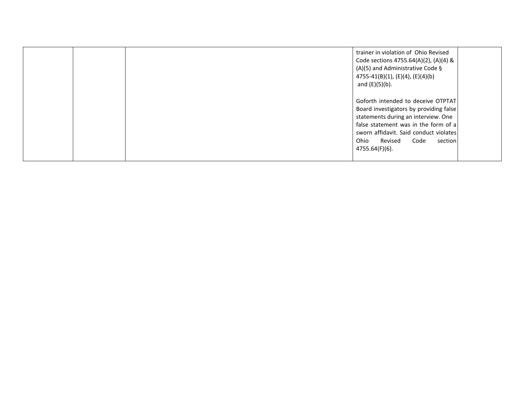|  | trainer in violation of Ohio Revised<br>Code sections 4755.64(A)(2), (A)(4) &<br>(A)(5) and Administrative Code §<br>$4755-41(B)(1)$ , (E)(4), (E)(4)(b)<br>and $(E)(5)(b)$ .                                                                                 |  |
|--|---------------------------------------------------------------------------------------------------------------------------------------------------------------------------------------------------------------------------------------------------------------|--|
|  | Goforth intended to deceive OTPTAT<br>Board investigators by providing false<br>statements during an interview. One<br>false statement was in the form of a<br>sworn affidavit. Said conduct violates<br>Code<br>Ohio<br>Revised<br>section<br>4755.64(F)(6). |  |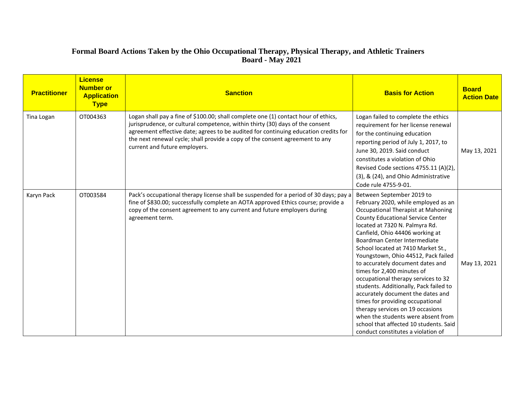# **Formal Board Actions Taken by the Ohio Occupational Therapy, Physical Therapy, and Athletic Trainers Board - May 2021**

| <b>Practitioner</b> | <b>License</b><br><b>Number or</b><br><b>Application</b><br><b>Type</b> | <b>Sanction</b>                                                                                                                                                                                                                                                                                                                                                             | <b>Basis for Action</b>                                                                                                                                                                                                                                                                                                                                                                                                                                                                                                                                                                                                                                                                                                    | <b>Board</b><br><b>Action Date</b> |
|---------------------|-------------------------------------------------------------------------|-----------------------------------------------------------------------------------------------------------------------------------------------------------------------------------------------------------------------------------------------------------------------------------------------------------------------------------------------------------------------------|----------------------------------------------------------------------------------------------------------------------------------------------------------------------------------------------------------------------------------------------------------------------------------------------------------------------------------------------------------------------------------------------------------------------------------------------------------------------------------------------------------------------------------------------------------------------------------------------------------------------------------------------------------------------------------------------------------------------------|------------------------------------|
| Tina Logan          | OT004363                                                                | Logan shall pay a fine of \$100.00; shall complete one (1) contact hour of ethics,<br>jurisprudence, or cultural competence, within thirty (30) days of the consent<br>agreement effective date; agrees to be audited for continuing education credits for<br>the next renewal cycle; shall provide a copy of the consent agreement to any<br>current and future employers. | Logan failed to complete the ethics<br>requirement for her license renewal<br>for the continuing education<br>reporting period of July 1, 2017, to<br>June 30, 2019. Said conduct<br>constitutes a violation of Ohio<br>Revised Code sections 4755.11 (A)(2),<br>(3), & (24), and Ohio Administrative<br>Code rule 4755-9-01.                                                                                                                                                                                                                                                                                                                                                                                              | May 13, 2021                       |
| Karyn Pack          | OT003584                                                                | Pack's occupational therapy license shall be suspended for a period of 30 days; pay a<br>fine of \$830.00; successfully complete an AOTA approved Ethics course; provide a<br>copy of the consent agreement to any current and future employers during<br>agreement term.                                                                                                   | Between September 2019 to<br>February 2020, while employed as an<br>Occupational Therapist at Mahoning<br><b>County Educational Service Center</b><br>located at 7320 N. Palmyra Rd.<br>Canfield, Ohio 44406 working at<br>Boardman Center Intermediate<br>School located at 7410 Market St.,<br>Youngstown, Ohio 44512, Pack failed<br>to accurately document dates and<br>times for 2,400 minutes of<br>occupational therapy services to 32<br>students. Additionally, Pack failed to<br>accurately document the dates and<br>times for providing occupational<br>therapy services on 19 occasions<br>when the students were absent from<br>school that affected 10 students. Said<br>conduct constitutes a violation of | May 13, 2021                       |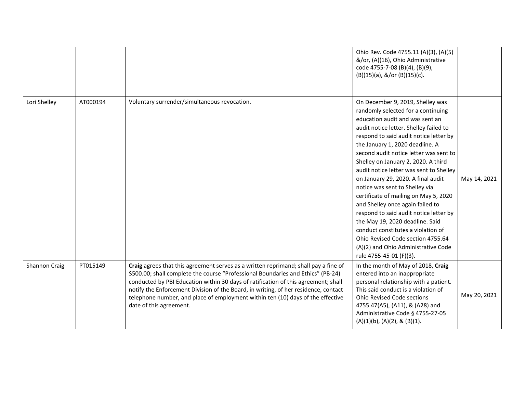|               |          |                                                                                                                                                                                                                                                                                                                                                                                                                                                                    | Ohio Rev. Code 4755.11 (A)(3), (A)(5)<br>&/or, (A)(16), Ohio Administrative<br>code 4755-7-08 (B)(4), (B)(9),<br>(B)(15)(a), &/or (B)(15)(c).                                                                                                                                                                                                                                                                                                                                                                                                                                                                                                                                                                                               |              |
|---------------|----------|--------------------------------------------------------------------------------------------------------------------------------------------------------------------------------------------------------------------------------------------------------------------------------------------------------------------------------------------------------------------------------------------------------------------------------------------------------------------|---------------------------------------------------------------------------------------------------------------------------------------------------------------------------------------------------------------------------------------------------------------------------------------------------------------------------------------------------------------------------------------------------------------------------------------------------------------------------------------------------------------------------------------------------------------------------------------------------------------------------------------------------------------------------------------------------------------------------------------------|--------------|
| Lori Shelley  | AT000194 | Voluntary surrender/simultaneous revocation.                                                                                                                                                                                                                                                                                                                                                                                                                       | On December 9, 2019, Shelley was<br>randomly selected for a continuing<br>education audit and was sent an<br>audit notice letter. Shelley failed to<br>respond to said audit notice letter by<br>the January 1, 2020 deadline. A<br>second audit notice letter was sent to<br>Shelley on January 2, 2020. A third<br>audit notice letter was sent to Shelley<br>on January 29, 2020. A final audit<br>notice was sent to Shelley via<br>certificate of mailing on May 5, 2020<br>and Shelley once again failed to<br>respond to said audit notice letter by<br>the May 19, 2020 deadline. Said<br>conduct constitutes a violation of<br>Ohio Revised Code section 4755.64<br>(A)(2) and Ohio Administrative Code<br>rule 4755-45-01 (F)(3). | May 14, 2021 |
| Shannon Craig | PT015149 | Craig agrees that this agreement serves as a written reprimand; shall pay a fine of<br>\$500.00; shall complete the course "Professional Boundaries and Ethics" (PB-24)<br>conducted by PBI Education within 30 days of ratification of this agreement; shall<br>notify the Enforcement Division of the Board, in writing, of her residence, contact<br>telephone number, and place of employment within ten (10) days of the effective<br>date of this agreement. | In the month of May of 2018, Craig<br>entered into an inappropriate<br>personal relationship with a patient.<br>This said conduct is a violation of<br><b>Ohio Revised Code sections</b><br>4755.47(A5), (A11), & (A28) and<br>Administrative Code § 4755-27-05<br>$(A)(1)(b)$ , $(A)(2)$ , & $(B)(1)$ .                                                                                                                                                                                                                                                                                                                                                                                                                                    | May 20, 2021 |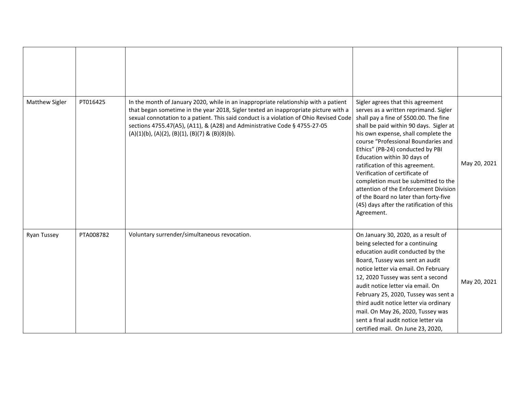| Matthew Sigler     | PT016425  | In the month of January 2020, while in an inappropriate relationship with a patient<br>that began sometime in the year 2018, Sigler texted an inappropriate picture with a<br>sexual connotation to a patient. This said conduct is a violation of Ohio Revised Code<br>sections 4755.47(A5), (A11), & (A28) and Administrative Code § 4755-27-05<br>$(A)(1)(b)$ , $(A)(2)$ , $(B)(1)$ , $(B)(7)$ & $(B)(8)(b)$ . | Sigler agrees that this agreement<br>serves as a written reprimand. Sigler<br>shall pay a fine of \$500.00. The fine<br>shall be paid within 90 days. Sigler at<br>his own expense, shall complete the<br>course "Professional Boundaries and<br>Ethics" (PB-24) conducted by PBI<br>Education within 30 days of<br>ratification of this agreement.<br>Verification of certificate of<br>completion must be submitted to the<br>attention of the Enforcement Division<br>of the Board no later than forty-five<br>(45) days after the ratification of this<br>Agreement. | May 20, 2021 |
|--------------------|-----------|-------------------------------------------------------------------------------------------------------------------------------------------------------------------------------------------------------------------------------------------------------------------------------------------------------------------------------------------------------------------------------------------------------------------|--------------------------------------------------------------------------------------------------------------------------------------------------------------------------------------------------------------------------------------------------------------------------------------------------------------------------------------------------------------------------------------------------------------------------------------------------------------------------------------------------------------------------------------------------------------------------|--------------|
| <b>Ryan Tussey</b> | PTA008782 | Voluntary surrender/simultaneous revocation.                                                                                                                                                                                                                                                                                                                                                                      | On January 30, 2020, as a result of<br>being selected for a continuing<br>education audit conducted by the<br>Board, Tussey was sent an audit<br>notice letter via email. On February<br>12, 2020 Tussey was sent a second<br>audit notice letter via email. On<br>February 25, 2020, Tussey was sent a<br>third audit notice letter via ordinary<br>mail. On May 26, 2020, Tussey was<br>sent a final audit notice letter via<br>certified mail. On June 23, 2020,                                                                                                      | May 20, 2021 |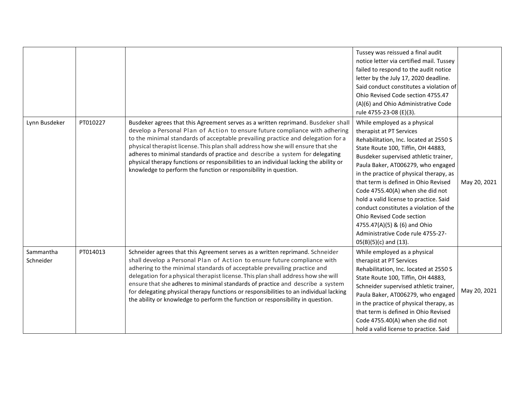|                        |          |                                                                                                                                                                                                                                                                                                                                                                                                                                                                                                                                                                                          | Tussey was reissued a final audit<br>notice letter via certified mail. Tussey<br>failed to respond to the audit notice<br>letter by the July 17, 2020 deadline.<br>Said conduct constitutes a violation of<br>Ohio Revised Code section 4755.47<br>(A)(6) and Ohio Administrative Code<br>rule 4755-23-08 (E)(3).                                                                                                                                                                                                                                                  |              |
|------------------------|----------|------------------------------------------------------------------------------------------------------------------------------------------------------------------------------------------------------------------------------------------------------------------------------------------------------------------------------------------------------------------------------------------------------------------------------------------------------------------------------------------------------------------------------------------------------------------------------------------|--------------------------------------------------------------------------------------------------------------------------------------------------------------------------------------------------------------------------------------------------------------------------------------------------------------------------------------------------------------------------------------------------------------------------------------------------------------------------------------------------------------------------------------------------------------------|--------------|
| Lynn Busdeker          | PT010227 | Busdeker agrees that this Agreement serves as a written reprimand. Busdeker shall<br>develop a Personal Plan of Action to ensure future compliance with adhering<br>to the minimal standards of acceptable prevailing practice and delegation for a<br>physical therapist license. This plan shall address how she will ensure that she<br>adheres to minimal standards of practice and describe a system for delegating<br>physical therapy functions or responsibilities to an individual lacking the ability or<br>knowledge to perform the function or responsibility in question.   | While employed as a physical<br>therapist at PT Services<br>Rehabilitation, Inc. located at 2550 S<br>State Route 100, Tiffin, OH 44883,<br>Busdeker supervised athletic trainer,<br>Paula Baker, AT006279, who engaged<br>in the practice of physical therapy, as<br>that term is defined in Ohio Revised<br>Code 4755.40(A) when she did not<br>hold a valid license to practice. Said<br>conduct constitutes a violation of the<br>Ohio Revised Code section<br>4755.47(A)(5) & (6) and Ohio<br>Administrative Code rule 4755-27-<br>$05(B)(5)(c)$ and $(13)$ . | May 20, 2021 |
| Sammantha<br>Schneider | PT014013 | Schneider agrees that this Agreement serves as a written reprimand. Schneider<br>shall develop a Personal Plan of Action to ensure future compliance with<br>adhering to the minimal standards of acceptable prevailing practice and<br>delegation for a physical therapist license. This plan shall address how she will<br>ensure that she adheres to minimal standards of practice and describe a system<br>for delegating physical therapy functions or responsibilities to an individual lacking<br>the ability or knowledge to perform the function or responsibility in question. | While employed as a physical<br>therapist at PT Services<br>Rehabilitation, Inc. located at 2550 S<br>State Route 100, Tiffin, OH 44883,<br>Schneider supervised athletic trainer,<br>Paula Baker, AT006279, who engaged<br>in the practice of physical therapy, as<br>that term is defined in Ohio Revised<br>Code 4755.40(A) when she did not<br>hold a valid license to practice. Said                                                                                                                                                                          | May 20, 2021 |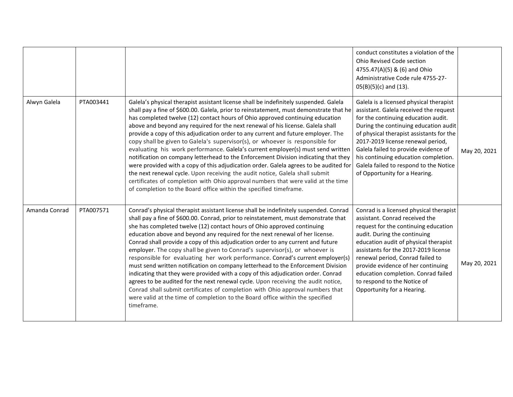|               |           |                                                                                                                                                                                                                                                                                                                                                                                                                                                                                                                                                                                                                                                                                                                                                                                                                                                                                                                                                                                                                                           | conduct constitutes a violation of the<br>Ohio Revised Code section<br>4755.47(A)(5) & (6) and Ohio<br>Administrative Code rule 4755-27-<br>$05(B)(5)(c)$ and $(13)$ .                                                                                                                                                                                                                                           |              |
|---------------|-----------|-------------------------------------------------------------------------------------------------------------------------------------------------------------------------------------------------------------------------------------------------------------------------------------------------------------------------------------------------------------------------------------------------------------------------------------------------------------------------------------------------------------------------------------------------------------------------------------------------------------------------------------------------------------------------------------------------------------------------------------------------------------------------------------------------------------------------------------------------------------------------------------------------------------------------------------------------------------------------------------------------------------------------------------------|------------------------------------------------------------------------------------------------------------------------------------------------------------------------------------------------------------------------------------------------------------------------------------------------------------------------------------------------------------------------------------------------------------------|--------------|
| Alwyn Galela  | PTA003441 | Galela's physical therapist assistant license shall be indefinitely suspended. Galela<br>shall pay a fine of \$600.00. Galela, prior to reinstatement, must demonstrate that he<br>has completed twelve (12) contact hours of Ohio approved continuing education<br>above and beyond any required for the next renewal of his license. Galela shall<br>provide a copy of this adjudication order to any current and future employer. The<br>copy shall be given to Galela's supervisor(s), or whoever is responsible for<br>evaluating his work performance. Galela's current employer(s) must send written<br>notification on company letterhead to the Enforcement Division indicating that they<br>were provided with a copy of this adjudication order. Galela agrees to be audited for<br>the next renewal cycle. Upon receiving the audit notice, Galela shall submit<br>certificates of completion with Ohio approval numbers that were valid at the time<br>of completion to the Board office within the specified timeframe.     | Galela is a licensed physical therapist<br>assistant. Galela received the request<br>for the continuing education audit.<br>During the continuing education audit<br>of physical therapist assistants for the<br>2017-2019 license renewal period,<br>Galela failed to provide evidence of<br>his continuing education completion.<br>Galela failed to respond to the Notice<br>of Opportunity for a Hearing.    | May 20, 2021 |
| Amanda Conrad | PTA007571 | Conrad's physical therapist assistant license shall be indefinitely suspended. Conrad<br>shall pay a fine of \$600.00. Conrad, prior to reinstatement, must demonstrate that<br>she has completed twelve (12) contact hours of Ohio approved continuing<br>education above and beyond any required for the next renewal of her license.<br>Conrad shall provide a copy of this adjudication order to any current and future<br>employer. The copy shall be given to Conrad's supervisor(s), or whoever is<br>responsible for evaluating her work performance. Conrad's current employer(s)<br>must send written notification on company letterhead to the Enforcement Division<br>indicating that they were provided with a copy of this adjudication order. Conrad<br>agrees to be audited for the next renewal cycle. Upon receiving the audit notice,<br>Conrad shall submit certificates of completion with Ohio approval numbers that<br>were valid at the time of completion to the Board office within the specified<br>timeframe. | Conrad is a licensed physical therapist<br>assistant. Conrad received the<br>request for the continuing education<br>audit. During the continuing<br>education audit of physical therapist<br>assistants for the 2017-2019 license<br>renewal period, Conrad failed to<br>provide evidence of her continuing<br>education completion. Conrad failed<br>to respond to the Notice of<br>Opportunity for a Hearing. | May 20, 2021 |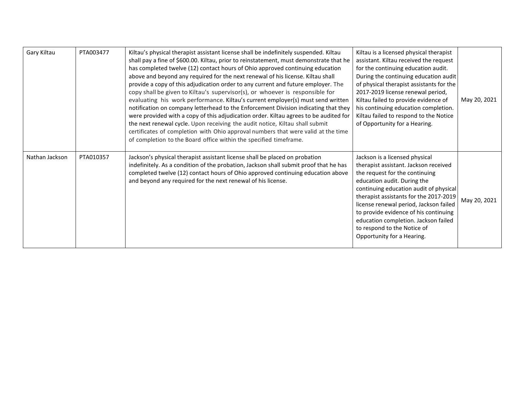| Gary Kiltau    | PTA003477 | Kiltau's physical therapist assistant license shall be indefinitely suspended. Kiltau<br>shall pay a fine of \$600.00. Kiltau, prior to reinstatement, must demonstrate that he<br>has completed twelve (12) contact hours of Ohio approved continuing education<br>above and beyond any required for the next renewal of his license. Kiltau shall<br>provide a copy of this adjudication order to any current and future employer. The<br>copy shall be given to Kiltau's supervisor(s), or whoever is responsible for<br>evaluating his work performance. Kiltau's current employer(s) must send written<br>notification on company letterhead to the Enforcement Division indicating that they<br>were provided with a copy of this adjudication order. Kiltau agrees to be audited for<br>the next renewal cycle. Upon receiving the audit notice, Kiltau shall submit<br>certificates of completion with Ohio approval numbers that were valid at the time<br>of completion to the Board office within the specified timeframe. | Kiltau is a licensed physical therapist<br>assistant. Kiltau received the request<br>for the continuing education audit.<br>During the continuing education audit<br>of physical therapist assistants for the<br>2017-2019 license renewal period,<br>Kiltau failed to provide evidence of<br>his continuing education completion.<br>Kiltau failed to respond to the Notice<br>of Opportunity for a Hearing.        | May 20, 2021 |
|----------------|-----------|---------------------------------------------------------------------------------------------------------------------------------------------------------------------------------------------------------------------------------------------------------------------------------------------------------------------------------------------------------------------------------------------------------------------------------------------------------------------------------------------------------------------------------------------------------------------------------------------------------------------------------------------------------------------------------------------------------------------------------------------------------------------------------------------------------------------------------------------------------------------------------------------------------------------------------------------------------------------------------------------------------------------------------------|----------------------------------------------------------------------------------------------------------------------------------------------------------------------------------------------------------------------------------------------------------------------------------------------------------------------------------------------------------------------------------------------------------------------|--------------|
| Nathan Jackson | PTA010357 | Jackson's physical therapist assistant license shall be placed on probation<br>indefinitely. As a condition of the probation, Jackson shall submit proof that he has<br>completed twelve (12) contact hours of Ohio approved continuing education above<br>and beyond any required for the next renewal of his license.                                                                                                                                                                                                                                                                                                                                                                                                                                                                                                                                                                                                                                                                                                               | Jackson is a licensed physical<br>therapist assistant. Jackson received<br>the request for the continuing<br>education audit. During the<br>continuing education audit of physical<br>therapist assistants for the 2017-2019<br>license renewal period, Jackson failed<br>to provide evidence of his continuing<br>education completion. Jackson failed<br>to respond to the Notice of<br>Opportunity for a Hearing. | May 20, 2021 |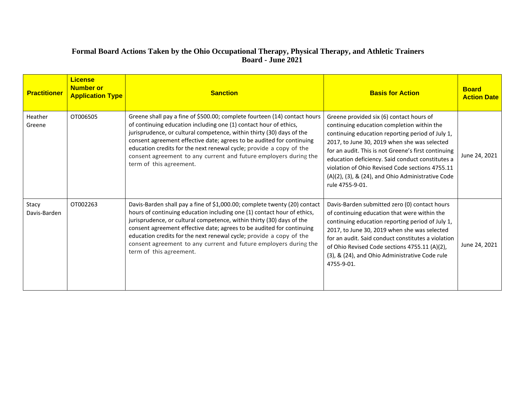# **Formal Board Actions Taken by the Ohio Occupational Therapy, Physical Therapy, and Athletic Trainers Board - June 2021**

| <b>Practitioner</b>   | <b>License</b><br><b>Number or</b><br><b>Application Type</b> | <b>Sanction</b>                                                                                                                                                                                                                                                                                                                                                                                                                                                              | <b>Basis for Action</b>                                                                                                                                                                                                                                                                                                                                                                                                          | <b>Board</b><br><b>Action Date</b> |
|-----------------------|---------------------------------------------------------------|------------------------------------------------------------------------------------------------------------------------------------------------------------------------------------------------------------------------------------------------------------------------------------------------------------------------------------------------------------------------------------------------------------------------------------------------------------------------------|----------------------------------------------------------------------------------------------------------------------------------------------------------------------------------------------------------------------------------------------------------------------------------------------------------------------------------------------------------------------------------------------------------------------------------|------------------------------------|
| Heather<br>Greene     | OT006505                                                      | Greene shall pay a fine of \$500.00; complete fourteen (14) contact hours<br>of continuing education including one (1) contact hour of ethics,<br>jurisprudence, or cultural competence, within thirty (30) days of the<br>consent agreement effective date; agrees to be audited for continuing<br>education credits for the next renewal cycle; provide a copy of the<br>consent agreement to any current and future employers during the<br>term of this agreement.       | Greene provided six (6) contact hours of<br>continuing education completion within the<br>continuing education reporting period of July 1,<br>2017, to June 30, 2019 when she was selected<br>for an audit. This is not Greene's first continuing<br>education deficiency. Said conduct constitutes a<br>violation of Ohio Revised Code sections 4755.11<br>(A)(2), (3), & (24), and Ohio Administrative Code<br>rule 4755-9-01. | June 24, 2021                      |
| Stacy<br>Davis-Barden | OT002263                                                      | Davis-Barden shall pay a fine of \$1,000.00; complete twenty (20) contact<br>hours of continuing education including one (1) contact hour of ethics,<br>jurisprudence, or cultural competence, within thirty (30) days of the<br>consent agreement effective date; agrees to be audited for continuing<br>education credits for the next renewal cycle; provide a copy of the<br>consent agreement to any current and future employers during the<br>term of this agreement. | Davis-Barden submitted zero (0) contact hours<br>of continuing education that were within the<br>continuing education reporting period of July 1,<br>2017, to June 30, 2019 when she was selected<br>for an audit. Said conduct constitutes a violation<br>of Ohio Revised Code sections 4755.11 (A)(2),<br>(3), & (24), and Ohio Administrative Code rule<br>4755-9-01.                                                         | June 24, 2021                      |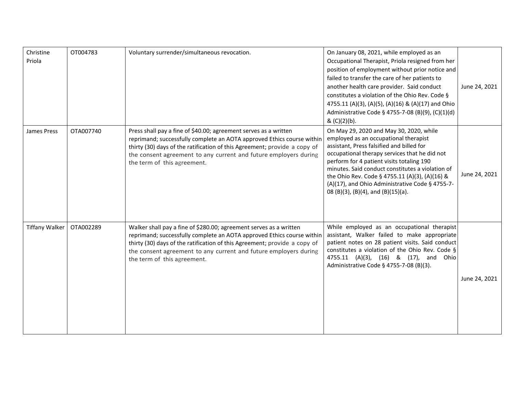| Christine<br>Priola   | OT004783  | Voluntary surrender/simultaneous revocation.                                                                                                                                                                                                                                                                                 | On January 08, 2021, while employed as an<br>Occupational Therapist, Priola resigned from her<br>position of employment without prior notice and<br>failed to transfer the care of her patients to<br>another health care provider. Said conduct<br>constitutes a violation of the Ohio Rev. Code §<br>4755.11 (A)(3), (A)(5), (A)(16) & (A)(17) and Ohio<br>Administrative Code § 4755-7-08 (B)(9), (C)(1)(d)<br>& (C)(2)(b). | June 24, 2021 |
|-----------------------|-----------|------------------------------------------------------------------------------------------------------------------------------------------------------------------------------------------------------------------------------------------------------------------------------------------------------------------------------|--------------------------------------------------------------------------------------------------------------------------------------------------------------------------------------------------------------------------------------------------------------------------------------------------------------------------------------------------------------------------------------------------------------------------------|---------------|
| James Press           | OTA007740 | Press shall pay a fine of \$40.00; agreement serves as a written<br>reprimand; successfully complete an AOTA approved Ethics course within<br>thirty (30) days of the ratification of this Agreement; provide a copy of<br>the consent agreement to any current and future employers during<br>the term of this agreement.   | On May 29, 2020 and May 30, 2020, while<br>employed as an occupational therapist<br>assistant, Press falsified and billed for<br>occupational therapy services that he did not<br>perform for 4 patient visits totaling 190<br>minutes. Said conduct constitutes a violation of<br>the Ohio Rev. Code § 4755.11 (A)(3), (A)(16) &<br>(A)(17), and Ohio Administrative Code § 4755-7-<br>08 (B)(3), (B)(4), and (B)(15)(a).     | June 24, 2021 |
| <b>Tiffany Walker</b> | OTA002289 | Walker shall pay a fine of \$280.00; agreement serves as a written<br>reprimand; successfully complete an AOTA approved Ethics course within<br>thirty (30) days of the ratification of this Agreement; provide a copy of<br>the consent agreement to any current and future employers during<br>the term of this agreement. | While employed as an occupational therapist<br>assistant, Walker failed to make appropriate<br>patient notes on 28 patient visits. Said conduct<br>constitutes a violation of the Ohio Rev. Code §<br>4755.11 (A)(3), (16) & (17), and Ohio<br>Administrative Code § 4755-7-08 (B)(3).                                                                                                                                         | June 24, 2021 |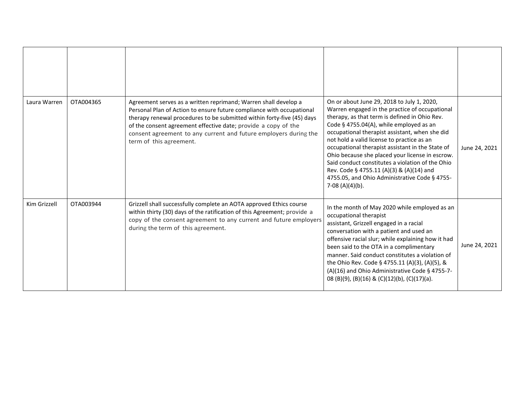| Laura Warren | OTA004365 | Agreement serves as a written reprimand; Warren shall develop a<br>Personal Plan of Action to ensure future compliance with occupational<br>therapy renewal procedures to be submitted within forty-five (45) days<br>of the consent agreement effective date; provide a copy of the<br>consent agreement to any current and future employers during the<br>term of this agreement. | On or about June 29, 2018 to July 1, 2020,<br>Warren engaged in the practice of occupational<br>therapy, as that term is defined in Ohio Rev.<br>Code § 4755.04(A), while employed as an<br>occupational therapist assistant, when she did<br>not hold a valid license to practice as an<br>occupational therapist assistant in the State of<br>Ohio because she placed your license in escrow.<br>Said conduct constitutes a violation of the Ohio<br>Rev. Code § 4755.11 (A)(3) & (A)(14) and<br>4755.05, and Ohio Administrative Code § 4755-<br>7-08 (A)(4)(b). | June 24, 2021 |
|--------------|-----------|-------------------------------------------------------------------------------------------------------------------------------------------------------------------------------------------------------------------------------------------------------------------------------------------------------------------------------------------------------------------------------------|---------------------------------------------------------------------------------------------------------------------------------------------------------------------------------------------------------------------------------------------------------------------------------------------------------------------------------------------------------------------------------------------------------------------------------------------------------------------------------------------------------------------------------------------------------------------|---------------|
| Kim Grizzell | OTA003944 | Grizzell shall successfully complete an AOTA approved Ethics course<br>within thirty (30) days of the ratification of this Agreement; provide a<br>copy of the consent agreement to any current and future employers<br>during the term of this agreement.                                                                                                                          | In the month of May 2020 while employed as an<br>occupational therapist<br>assistant, Grizzell engaged in a racial<br>conversation with a patient and used an<br>offensive racial slur; while explaining how it had<br>been said to the OTA in a complimentary<br>manner. Said conduct constitutes a violation of<br>the Ohio Rev. Code § 4755.11 (A)(3), (A)(5), &<br>(A)(16) and Ohio Administrative Code § 4755-7-<br>08 (B)(9), (B)(16) & (C)(12)(b), (C)(17)(a).                                                                                               | June 24, 2021 |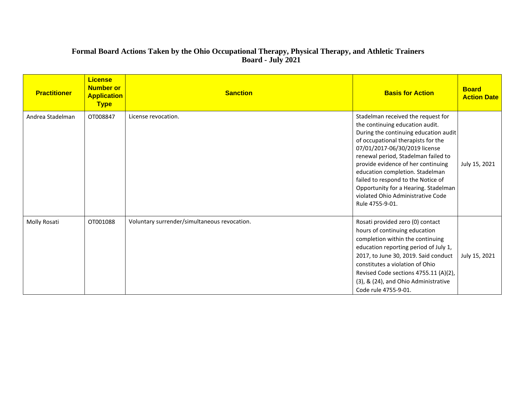## **Formal Board Actions Taken by the Ohio Occupational Therapy, Physical Therapy, and Athletic Trainers Board - July 2021**

| <b>Practitioner</b> | <b>License</b><br><b>Number or</b><br><b>Application</b><br><b>Type</b> | <b>Sanction</b>                              | <b>Basis for Action</b>                                                                                                                                                                                                                                                                                                                                                                                                                     | <b>Board</b><br><b>Action Date</b> |
|---------------------|-------------------------------------------------------------------------|----------------------------------------------|---------------------------------------------------------------------------------------------------------------------------------------------------------------------------------------------------------------------------------------------------------------------------------------------------------------------------------------------------------------------------------------------------------------------------------------------|------------------------------------|
| Andrea Stadelman    | OT008847                                                                | License revocation.                          | Stadelman received the request for<br>the continuing education audit.<br>During the continuing education audit<br>of occupational therapists for the<br>07/01/2017-06/30/2019 license<br>renewal period, Stadelman failed to<br>provide evidence of her continuing<br>education completion. Stadelman<br>failed to respond to the Notice of<br>Opportunity for a Hearing. Stadelman<br>violated Ohio Administrative Code<br>Rule 4755-9-01. | July 15, 2021                      |
| Molly Rosati        | OT001088                                                                | Voluntary surrender/simultaneous revocation. | Rosati provided zero (0) contact<br>hours of continuing education<br>completion within the continuing<br>education reporting period of July 1,<br>2017, to June 30, 2019. Said conduct<br>constitutes a violation of Ohio<br>Revised Code sections 4755.11 (A)(2),<br>(3), & (24), and Ohio Administrative<br>Code rule 4755-9-01.                                                                                                          | July 15, 2021                      |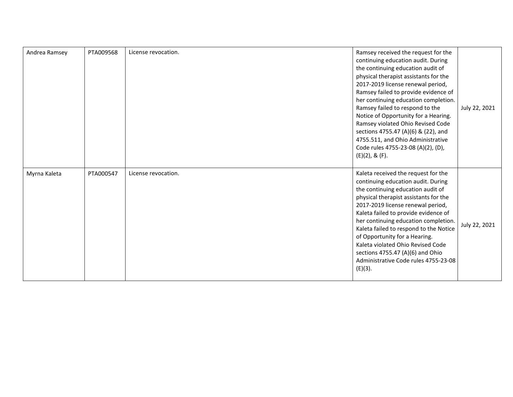| Andrea Ramsey | PTA009568 | License revocation. | Ramsey received the request for the<br>continuing education audit. During<br>the continuing education audit of<br>physical therapist assistants for the<br>2017-2019 license renewal period,<br>Ramsey failed to provide evidence of<br>her continuing education completion.<br>Ramsey failed to respond to the<br>Notice of Opportunity for a Hearing.<br>Ramsey violated Ohio Revised Code<br>sections 4755.47 (A)(6) & (22), and<br>4755.511, and Ohio Administrative<br>Code rules 4755-23-08 (A)(2), (D),<br>$(E)(2)$ , & $(F)$ . | July 22, 2021 |
|---------------|-----------|---------------------|----------------------------------------------------------------------------------------------------------------------------------------------------------------------------------------------------------------------------------------------------------------------------------------------------------------------------------------------------------------------------------------------------------------------------------------------------------------------------------------------------------------------------------------|---------------|
| Myrna Kaleta  | PTA000547 | License revocation. | Kaleta received the request for the<br>continuing education audit. During<br>the continuing education audit of<br>physical therapist assistants for the<br>2017-2019 license renewal period,<br>Kaleta failed to provide evidence of<br>her continuing education completion.<br>Kaleta failed to respond to the Notice<br>of Opportunity for a Hearing.<br>Kaleta violated Ohio Revised Code<br>sections 4755.47 (A)(6) and Ohio<br>Administrative Code rules 4755-23-08<br>(E)(3).                                                    | July 22, 2021 |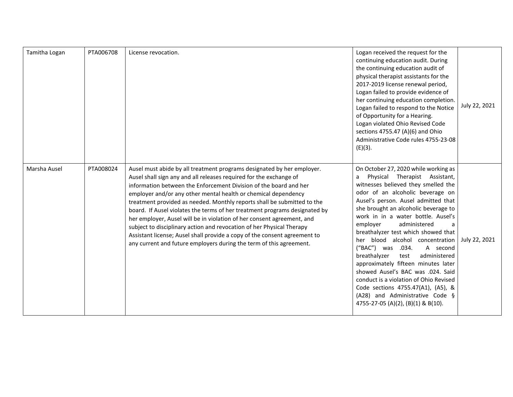| Tamitha Logan | PTA006708 | License revocation.                                                                                                                                                                                                                                                                                                                                                                                                                                                                                                                                                                                                                                                                                                                                 | Logan received the request for the<br>continuing education audit. During<br>the continuing education audit of<br>physical therapist assistants for the<br>2017-2019 license renewal period,<br>Logan failed to provide evidence of<br>her continuing education completion.<br>Logan failed to respond to the Notice<br>of Opportunity for a Hearing.<br>Logan violated Ohio Revised Code<br>sections 4755.47 (A)(6) and Ohio<br>Administrative Code rules 4755-23-08<br>$(E)(3)$ .                                                                                                                                                                                                                     | July 22, 2021 |
|---------------|-----------|-----------------------------------------------------------------------------------------------------------------------------------------------------------------------------------------------------------------------------------------------------------------------------------------------------------------------------------------------------------------------------------------------------------------------------------------------------------------------------------------------------------------------------------------------------------------------------------------------------------------------------------------------------------------------------------------------------------------------------------------------------|--------------------------------------------------------------------------------------------------------------------------------------------------------------------------------------------------------------------------------------------------------------------------------------------------------------------------------------------------------------------------------------------------------------------------------------------------------------------------------------------------------------------------------------------------------------------------------------------------------------------------------------------------------------------------------------------------------|---------------|
| Marsha Ausel  | PTA008024 | Ausel must abide by all treatment programs designated by her employer.<br>Ausel shall sign any and all releases required for the exchange of<br>information between the Enforcement Division of the board and her<br>employer and/or any other mental health or chemical dependency<br>treatment provided as needed. Monthly reports shall be submitted to the<br>board. If Ausel violates the terms of her treatment programs designated by<br>her employer, Ausel will be in violation of her consent agreement, and<br>subject to disciplinary action and revocation of her Physical Therapy<br>Assistant license; Ausel shall provide a copy of the consent agreement to<br>any current and future employers during the term of this agreement. | On October 27, 2020 while working as<br>Physical Therapist Assistant,<br>a<br>witnesses believed they smelled the<br>odor of an alcoholic beverage on<br>Ausel's person. Ausel admitted that<br>she brought an alcoholic beverage to<br>work in in a water bottle. Ausel's<br>employer<br>administered<br>a<br>breathalyzer test which showed that<br>her blood alcohol concentration<br>("BAC") was<br>.034.<br>A second<br>breathalyzer<br>administered<br>test<br>approximately fifteen minutes later<br>showed Ausel's BAC was .024. Said<br>conduct is a violation of Ohio Revised<br>Code sections 4755.47(A1), (A5), &<br>(A28) and Administrative Code §<br>4755-27-05 (A)(2), (B)(1) & B(10). | July 22, 2021 |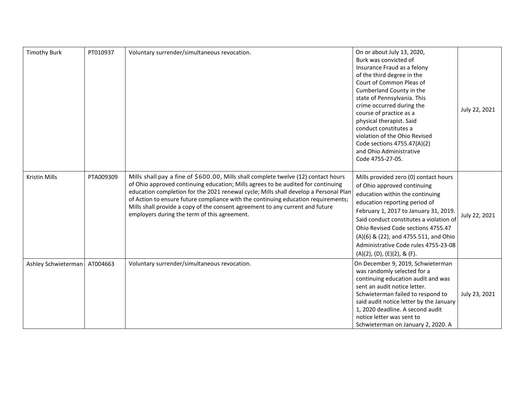| <b>Timothy Burk</b> | PT010937  | Voluntary surrender/simultaneous revocation.                                                                                                                                                                                                                                                                                                                                                                                                                                         | On or about July 13, 2020,<br>Burk was convicted of<br>Insurance Fraud as a felony<br>of the third degree in the<br>Court of Common Pleas of<br>Cumberland County in the<br>state of Pennsylvania. This<br>crime occurred during the<br>course of practice as a<br>physical therapist. Said<br>conduct constitutes a<br>violation of the Ohio Revised<br>Code sections 4755.47(A)(2)<br>and Ohio Administrative<br>Code 4755-27-05. | July 22, 2021 |
|---------------------|-----------|--------------------------------------------------------------------------------------------------------------------------------------------------------------------------------------------------------------------------------------------------------------------------------------------------------------------------------------------------------------------------------------------------------------------------------------------------------------------------------------|-------------------------------------------------------------------------------------------------------------------------------------------------------------------------------------------------------------------------------------------------------------------------------------------------------------------------------------------------------------------------------------------------------------------------------------|---------------|
| Kristin Mills       | PTA009309 | Mills shall pay a fine of \$600.00, Mills shall complete twelve (12) contact hours<br>of Ohio approved continuing education; Mills agrees to be audited for continuing<br>education completion for the 2021 renewal cycle; Mills shall develop a Personal Plan<br>of Action to ensure future compliance with the continuing education requirements;<br>Mills shall provide a copy of the consent agreement to any current and future<br>employers during the term of this agreement. | Mills provided zero (0) contact hours<br>of Ohio approved continuing<br>education within the continuing<br>education reporting period of<br>February 1, 2017 to January 31, 2019.<br>Said conduct constitutes a violation of<br>Ohio Revised Code sections 4755.47<br>(A)(6) & (22), and 4755.511, and Ohio<br>Administrative Code rules 4755-23-08<br>(A)(2), (D), (E)(2), & (F).                                                  | July 22, 2021 |
| Ashley Schwieterman | AT004663  | Voluntary surrender/simultaneous revocation.                                                                                                                                                                                                                                                                                                                                                                                                                                         | On December 9, 2019, Schwieterman<br>was randomly selected for a<br>continuing education audit and was<br>sent an audit notice letter.<br>Schwieterman failed to respond to<br>said audit notice letter by the January<br>1, 2020 deadline. A second audit<br>notice letter was sent to<br>Schwieterman on January 2, 2020. A                                                                                                       | July 23, 2021 |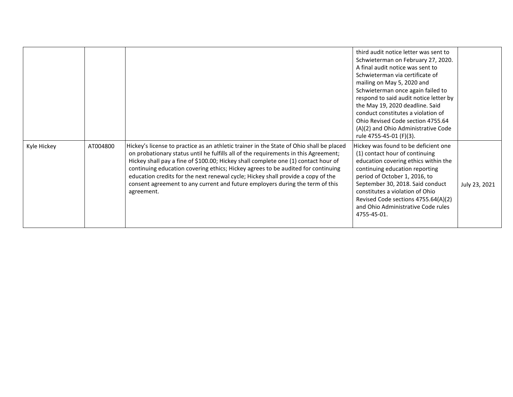|             |          |                                                                                                                                                                                                                                                                                                                                                                                                                                                                                                                                              | third audit notice letter was sent to<br>Schwieterman on February 27, 2020.<br>A final audit notice was sent to<br>Schwieterman via certificate of<br>mailing on May 5, 2020 and<br>Schwieterman once again failed to<br>respond to said audit notice letter by<br>the May 19, 2020 deadline. Said<br>conduct constitutes a violation of<br>Ohio Revised Code section 4755.64<br>(A)(2) and Ohio Administrative Code<br>rule 4755-45-01 (F)(3). |               |
|-------------|----------|----------------------------------------------------------------------------------------------------------------------------------------------------------------------------------------------------------------------------------------------------------------------------------------------------------------------------------------------------------------------------------------------------------------------------------------------------------------------------------------------------------------------------------------------|-------------------------------------------------------------------------------------------------------------------------------------------------------------------------------------------------------------------------------------------------------------------------------------------------------------------------------------------------------------------------------------------------------------------------------------------------|---------------|
| Kyle Hickey | AT004800 | Hickey's license to practice as an athletic trainer in the State of Ohio shall be placed<br>on probationary status until he fulfills all of the requirements in this Agreement;<br>Hickey shall pay a fine of \$100.00; Hickey shall complete one (1) contact hour of<br>continuing education covering ethics; Hickey agrees to be audited for continuing<br>education credits for the next renewal cycle; Hickey shall provide a copy of the<br>consent agreement to any current and future employers during the term of this<br>agreement. | Hickey was found to be deficient one<br>(1) contact hour of continuing<br>education covering ethics within the<br>continuing education reporting<br>period of October 1, 2016, to<br>September 30, 2018. Said conduct<br>constitutes a violation of Ohio<br>Revised Code sections 4755.64(A)(2)<br>and Ohio Administrative Code rules<br>4755-45-01.                                                                                            | July 23, 2021 |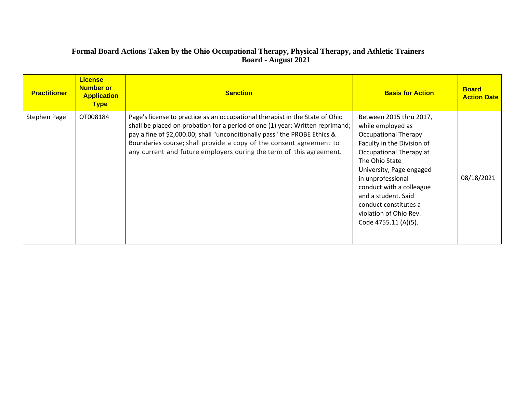# **Formal Board Actions Taken by the Ohio Occupational Therapy, Physical Therapy, and Athletic Trainers Board - August 2021**

| <b>Practitioner</b> | <b>License</b><br><b>Number or</b><br><b>Application</b><br><b>Type</b> | <b>Sanction</b>                                                                                                                                                                                                                                                                                                                                                                          | <b>Basis for Action</b>                                                                                                                                                                                                                                                                                                               | <b>Board</b><br><b>Action Date</b> |
|---------------------|-------------------------------------------------------------------------|------------------------------------------------------------------------------------------------------------------------------------------------------------------------------------------------------------------------------------------------------------------------------------------------------------------------------------------------------------------------------------------|---------------------------------------------------------------------------------------------------------------------------------------------------------------------------------------------------------------------------------------------------------------------------------------------------------------------------------------|------------------------------------|
| Stephen Page        | OT008184                                                                | Page's license to practice as an occupational therapist in the State of Ohio<br>shall be placed on probation for a period of one (1) year; Written reprimand;<br>pay a fine of \$2,000.00; shall "unconditionally pass" the PROBE Ethics &<br>Boundaries course; shall provide a copy of the consent agreement to<br>any current and future employers during the term of this agreement. | Between 2015 thru 2017,<br>while employed as<br><b>Occupational Therapy</b><br>Faculty in the Division of<br>Occupational Therapy at<br>The Ohio State<br>University, Page engaged<br>in unprofessional<br>conduct with a colleague<br>and a student. Said<br>conduct constitutes a<br>violation of Ohio Rev.<br>Code 4755.11 (A)(5). | 08/18/2021                         |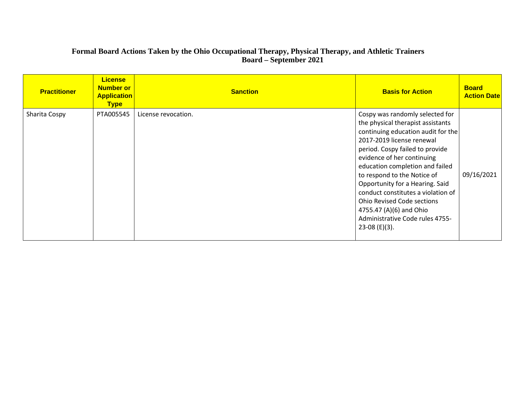## **Formal Board Actions Taken by the Ohio Occupational Therapy, Physical Therapy, and Athletic Trainers Board – September 2021**

| <b>Practitioner</b> | <b>License</b><br><b>Number or</b><br><b>Application</b><br><b>Type</b> | <b>Sanction</b>     | <b>Basis for Action</b>                                                                                                                                                                                                                                                                                                                                                                                                                                                 | <b>Board</b><br><b>Action Date</b> |
|---------------------|-------------------------------------------------------------------------|---------------------|-------------------------------------------------------------------------------------------------------------------------------------------------------------------------------------------------------------------------------------------------------------------------------------------------------------------------------------------------------------------------------------------------------------------------------------------------------------------------|------------------------------------|
| Sharita Cospy       | PTA005545                                                               | License revocation. | Cospy was randomly selected for<br>the physical therapist assistants<br>continuing education audit for the<br>2017-2019 license renewal<br>period. Cospy failed to provide<br>evidence of her continuing<br>education completion and failed<br>to respond to the Notice of<br>Opportunity for a Hearing. Said<br>conduct constitutes a violation of<br><b>Ohio Revised Code sections</b><br>4755.47 (A)(6) and Ohio<br>Administrative Code rules 4755-<br>23-08 (E)(3). | 09/16/2021                         |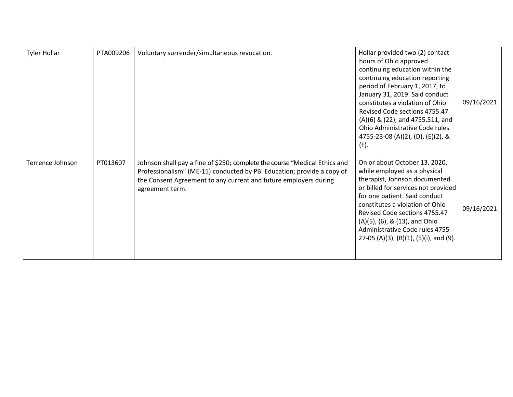| <b>Tyler Hollar</b> | PTA009206 | Voluntary surrender/simultaneous revocation.                                                                                                                                                                                                | Hollar provided two (2) contact<br>hours of Ohio approved<br>continuing education within the<br>continuing education reporting<br>period of February 1, 2017, to<br>January 31, 2019. Said conduct<br>constitutes a violation of Ohio<br>Revised Code sections 4755.47<br>(A)(6) & (22), and 4755.511, and<br>Ohio Administrative Code rules<br>4755-23-08 (A)(2), (D), (E)(2), &<br>(F). | 09/16/2021 |
|---------------------|-----------|---------------------------------------------------------------------------------------------------------------------------------------------------------------------------------------------------------------------------------------------|-------------------------------------------------------------------------------------------------------------------------------------------------------------------------------------------------------------------------------------------------------------------------------------------------------------------------------------------------------------------------------------------|------------|
| Terrence Johnson    | PT013607  | Johnson shall pay a fine of \$250; complete the course "Medical Ethics and<br>Professionalism" (ME-15) conducted by PBI Education; provide a copy of<br>the Consent Agreement to any current and future employers during<br>agreement term. | On or about October 13, 2020,<br>while employed as a physical<br>therapist, Johnson documented<br>or billed for services not provided<br>for one patient. Said conduct<br>constitutes a violation of Ohio<br>Revised Code sections 4755.47<br>(A)(5), (6), & (13), and Ohio<br>Administrative Code rules 4755-<br>27-05 (A)(3), (B)(1), (5)(i), and (9).                                  | 09/16/2021 |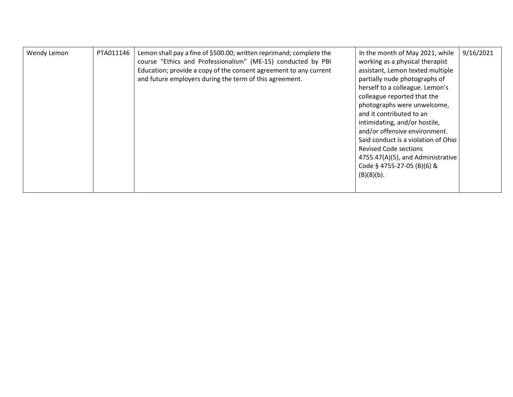| herself to a colleague. Lemon's<br>colleague reported that the<br>photographs were unwelcome,<br>and it contributed to an<br>intimidating, and/or hostile,<br>and/or offensive environment.<br>Said conduct is a violation of Ohio<br><b>Revised Code sections</b><br>4755.47(A)(5), and Administrative<br>Code § 4755-27-05 (B)(6) &<br>$(B)(8)(b)$ . | PTA011146<br>Wendy Lemon | Lemon shall pay a fine of \$500.00; written reprimand; complete the<br>course "Ethics and Professionalism" (ME-15) conducted by PBI<br>Education; provide a copy of the consent agreement to any current<br>and future employers during the term of this agreement. | In the month of May 2021, while<br>working as a physical therapist<br>assistant, Lemon texted multiple<br>partially nude photographs of | 9/16/2021 |
|--------------------------------------------------------------------------------------------------------------------------------------------------------------------------------------------------------------------------------------------------------------------------------------------------------------------------------------------------------|--------------------------|---------------------------------------------------------------------------------------------------------------------------------------------------------------------------------------------------------------------------------------------------------------------|-----------------------------------------------------------------------------------------------------------------------------------------|-----------|
|--------------------------------------------------------------------------------------------------------------------------------------------------------------------------------------------------------------------------------------------------------------------------------------------------------------------------------------------------------|--------------------------|---------------------------------------------------------------------------------------------------------------------------------------------------------------------------------------------------------------------------------------------------------------------|-----------------------------------------------------------------------------------------------------------------------------------------|-----------|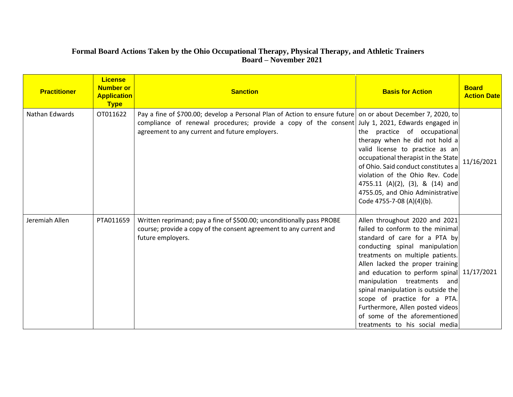# **Formal Board Actions Taken by the Ohio Occupational Therapy, Physical Therapy, and Athletic Trainers Board – November 2021**

| <b>Practitioner</b> | <b>License</b><br><b>Number or</b><br><b>Application</b><br><b>Type</b> | <b>Sanction</b>                                                                                                                                                                                                                                                   | <b>Basis for Action</b>                                                                                                                                                                                                                                                                                                                                                                                                                                                 | <b>Board</b><br><b>Action Date</b> |
|---------------------|-------------------------------------------------------------------------|-------------------------------------------------------------------------------------------------------------------------------------------------------------------------------------------------------------------------------------------------------------------|-------------------------------------------------------------------------------------------------------------------------------------------------------------------------------------------------------------------------------------------------------------------------------------------------------------------------------------------------------------------------------------------------------------------------------------------------------------------------|------------------------------------|
| Nathan Edwards      | OT011622                                                                | Pay a fine of \$700.00; develop a Personal Plan of Action to ensure future on or about December 7, 2020, to<br>compliance of renewal procedures; provide a copy of the consent July 1, 2021, Edwards engaged in<br>agreement to any current and future employers. | the practice of occupational<br>therapy when he did not hold a<br>valid license to practice as an<br>occupational therapist in the State<br>of Ohio. Said conduct constitutes a<br>violation of the Ohio Rev. Code<br>4755.11 (A)(2), (3), & (14) and<br>4755.05, and Ohio Administrative<br>Code 4755-7-08 (A)(4)(b).                                                                                                                                                  | 11/16/2021                         |
| Jeremiah Allen      | PTA011659                                                               | Written reprimand; pay a fine of \$500.00; unconditionally pass PROBE<br>course; provide a copy of the consent agreement to any current and<br>future employers.                                                                                                  | Allen throughout 2020 and 2021<br>failed to conform to the minimal<br>standard of care for a PTA by<br>conducting spinal manipulation<br>treatments on multiple patients.<br>Allen lacked the proper training<br>and education to perform spinal 11/17/2021<br>manipulation treatments and<br>spinal manipulation is outside the<br>scope of practice for a PTA.<br>Furthermore, Allen posted videos<br>of some of the aforementioned<br>treatments to his social media |                                    |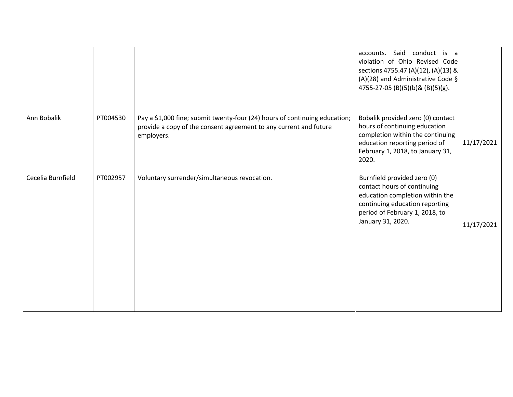|                   |          |                                                                                                                                                               | Said conduct is a<br>accounts.<br>violation of Ohio Revised Code<br>sections 4755.47 (A)(12), (A)(13) &<br>(A)(28) and Administrative Code $\S$<br>4755-27-05 (B)(5)(b)& (B)(5)(g).    |            |
|-------------------|----------|---------------------------------------------------------------------------------------------------------------------------------------------------------------|----------------------------------------------------------------------------------------------------------------------------------------------------------------------------------------|------------|
| Ann Bobalik       | PT004530 | Pay a \$1,000 fine; submit twenty-four (24) hours of continuing education;<br>provide a copy of the consent agreement to any current and future<br>employers. | Bobalik provided zero (0) contact<br>hours of continuing education<br>completion within the continuing<br>education reporting period of<br>February 1, 2018, to January 31,<br>2020.   | 11/17/2021 |
| Cecelia Burnfield | PT002957 | Voluntary surrender/simultaneous revocation.                                                                                                                  | Burnfield provided zero (0)<br>contact hours of continuing<br>education completion within the<br>continuing education reporting<br>period of February 1, 2018, to<br>January 31, 2020. | 11/17/2021 |